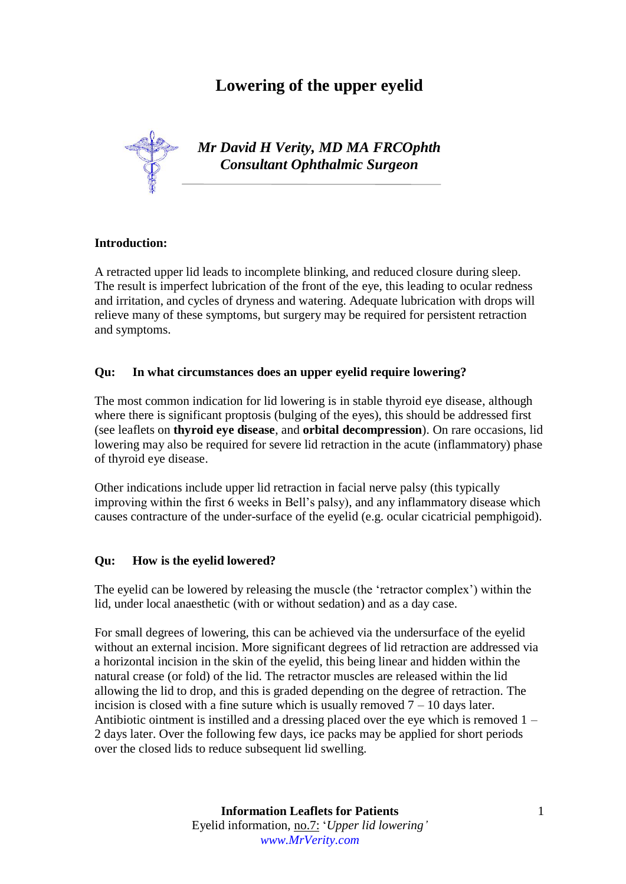# **Lowering of the upper eyelid**



## **Introduction:**

A retracted upper lid leads to incomplete blinking, and reduced closure during sleep. The result is imperfect lubrication of the front of the eye, this leading to ocular redness and irritation, and cycles of dryness and watering. Adequate lubrication with drops will relieve many of these symptoms, but surgery may be required for persistent retraction and symptoms.

## **Qu: In what circumstances does an upper eyelid require lowering?**

The most common indication for lid lowering is in stable thyroid eye disease, although where there is significant proptosis (bulging of the eyes), this should be addressed first (see leaflets on **thyroid eye disease**, and **orbital decompression**). On rare occasions, lid lowering may also be required for severe lid retraction in the acute (inflammatory) phase of thyroid eye disease.

Other indications include upper lid retraction in facial nerve palsy (this typically improving within the first 6 weeks in Bell's palsy), and any inflammatory disease which causes contracture of the under-surface of the eyelid (e.g. ocular cicatricial pemphigoid).

#### **Qu: How is the eyelid lowered?**

The evelid can be lowered by releasing the muscle (the 'retractor complex') within the lid, under local anaesthetic (with or without sedation) and as a day case.

For small degrees of lowering, this can be achieved via the undersurface of the eyelid without an external incision. More significant degrees of lid retraction are addressed via a horizontal incision in the skin of the eyelid, this being linear and hidden within the natural crease (or fold) of the lid. The retractor muscles are released within the lid allowing the lid to drop, and this is graded depending on the degree of retraction. The incision is closed with a fine suture which is usually removed  $7 - 10$  days later. Antibiotic ointment is instilled and a dressing placed over the eye which is removed 1 – 2 days later. Over the following few days, ice packs may be applied for short periods over the closed lids to reduce subsequent lid swelling.